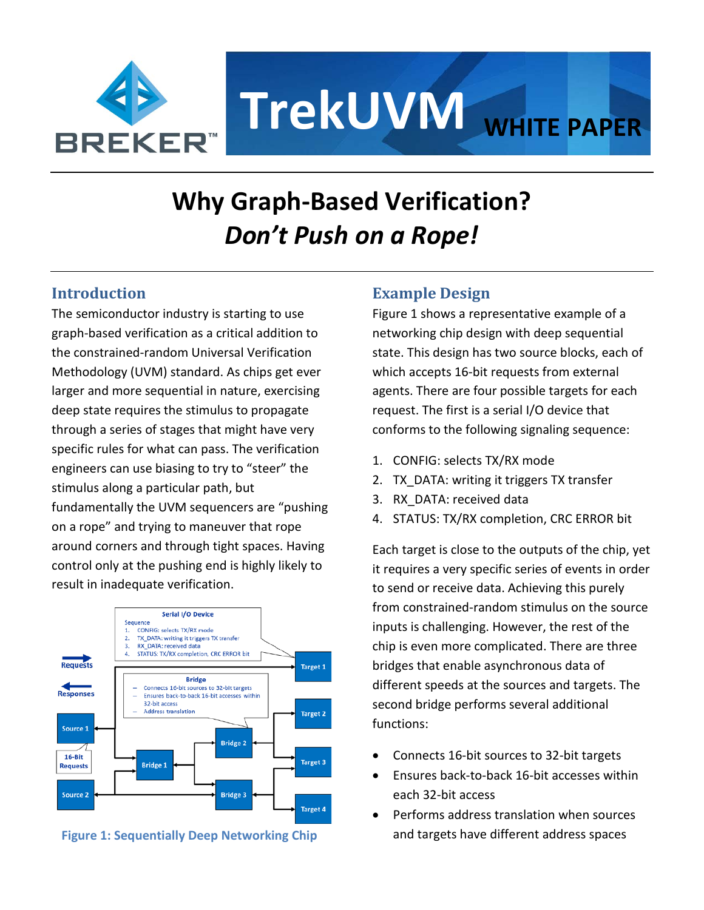

# **TrekUVM WHITE PAPER**

# **Why Graph-Based Verification?**  *Don't Push on a Rope!*

# **Introduction**

The semiconductor industry is starting to use graph-based verification as a critical addition to the constrained-random Universal Verification Methodology (UVM) standard. As chips get ever larger and more sequential in nature, exercising deep state requires the stimulus to propagate through a series of stages that might have very specific rules for what can pass. The verification engineers can use biasing to try to "steer" the stimulus along a particular path, but fundamentally the UVM sequencers are "pushing on a rope" and trying to maneuver that rope around corners and through tight spaces. Having control only at the pushing end is highly likely to result in inadequate verification.



**Figure 1: Sequentially Deep Networking Chip** 

# **Example Design**

Figure 1 shows a representative example of a networking chip design with deep sequential state. This design has two source blocks, each of which accepts 16-bit requests from external agents. There are four possible targets for each request. The first is a serial I/O device that conforms to the following signaling sequence:

- 1. CONFIG: selects TX/RX mode
- 2. TX DATA: writing it triggers TX transfer
- 3. RX\_DATA: received data
- 4. STATUS: TX/RX completion, CRC ERROR bit

Each target is close to the outputs of the chip, yet it requires a very specific series of events in order to send or receive data. Achieving this purely from constrained-random stimulus on the source inputs is challenging. However, the rest of the chip is even more complicated. There are three bridges that enable asynchronous data of different speeds at the sources and targets. The second bridge performs several additional functions:

- Connects 16-bit sources to 32-bit targets
- Ensures back-to-back 16-bit accesses within each 32-bit access
- Performs address translation when sources and targets have different address spaces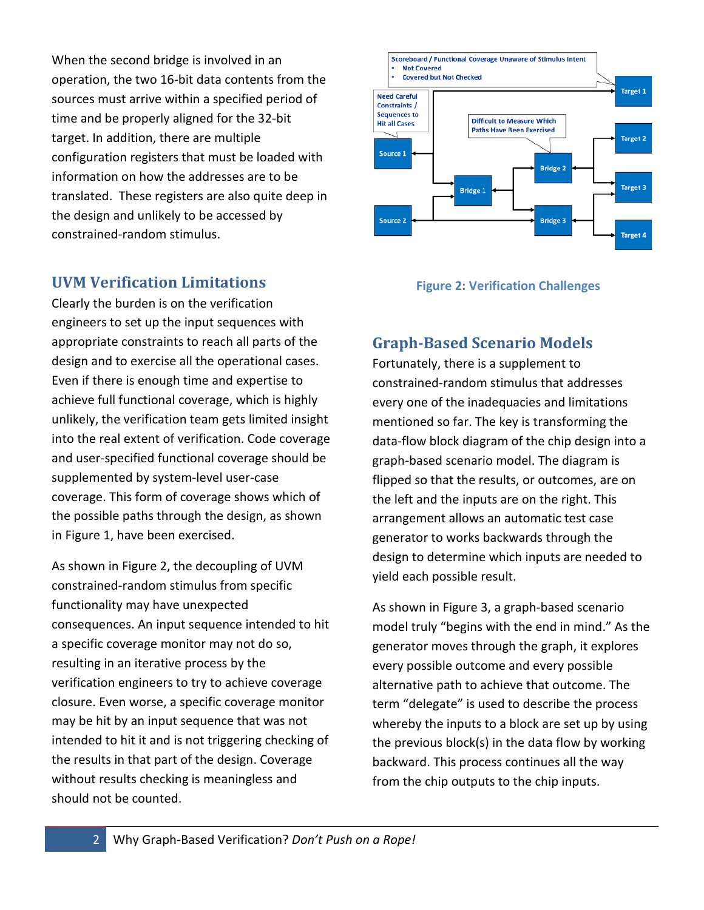When the second bridge is involved in an operation, the two 16-bit data contents from the sources must arrive within a specified period of time and be properly aligned for the 32-bit target. In addition, there are multiple configuration registers that must be loaded with information on how the addresses are to be translated. These registers are also quite deep in the design and unlikely to be accessed by constrained-random stimulus.

## **UVM Verification Limitations**

Clearly the burden is on the verification engineers to set up the input sequences with appropriate constraints to reach all parts of the design and to exercise all the operational cases. Even if there is enough time and expertise to achieve full functional coverage, which is highly unlikely, the verification team gets limited insight into the real extent of verification. Code coverage and user-specified functional coverage should be supplemented by system-level user-case coverage. This form of coverage shows which of the possible paths through the design, as shown in Figure 1, have been exercised.

As shown in Figure 2, the decoupling of UVM constrained-random stimulus from specific functionality may have unexpected consequences. An input sequence intended to hit a specific coverage monitor may not do so, resulting in an iterative process by the verification engineers to try to achieve coverage closure. Even worse, a specific coverage monitor may be hit by an input sequence that was not intended to hit it and is not triggering checking of the results in that part of the design. Coverage without results checking is meaningless and should not be counted.



#### **Figure 2: Verification Challenges**

# **Graph-Based Scenario Models**

Fortunately, there is a supplement to constrained-random stimulus that addresses every one of the inadequacies and limitations mentioned so far. The key is transforming the data-flow block diagram of the chip design into a graph-based scenario model. The diagram is flipped so that the results, or outcomes, are on the left and the inputs are on the right. This arrangement allows an automatic test case generator to works backwards through the design to determine which inputs are needed to yield each possible result.

As shown in Figure 3, a graph-based scenario model truly "begins with the end in mind." As the generator moves through the graph, it explores every possible outcome and every possible alternative path to achieve that outcome. The term "delegate" is used to describe the process whereby the inputs to a block are set up by using the previous block(s) in the data flow by working backward. This process continues all the way from the chip outputs to the chip inputs.